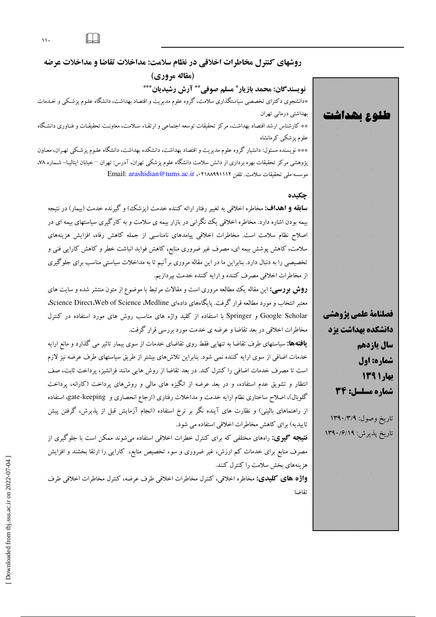$\mathbf{v}$ 

## روشهای کنترل مخاطرات اخلاقی در نظام سلامت: مداخلات تقاضا و مداخلات عرضه (مقاله مروري) نویسندگان: محمد بازیار ؓ مسلم صوفی ؓ ؓ آرش رشیدیان ؓ ؓ ؓ \*دانشجوی دکترای تخصصی سیاستگذاری سلامت، گروه علوم مدیریت و اقتصاد بهداشت، دانشگاه علـوم پزشـکی و خـدمات

بهداشتي درماني تهران \*\* كارشناس ارشد اقتصاد بهداشت، مركز تحقيقات توسعه اجتماعي و ارتقـاء سـلامت، معاونـت تحقيقـات و فنـاوري دانشـگاه علوم یز شکے کر مانشاہ

\*\*\* نویسنده مسئول: دانشیار گروه علوم مدیریت و اقتصاد بهداشت، دانشکده بهداشت، دانشگاه علـوم پزشـکی تهـران، معـاون پژوهشی مرکز تحقیقات بهره برداری از دانش سلامت دانشگاه علوم پزشکی تهران، آدرس: تهران –خیابان ایتالیـا– شـماره ۷۸، موسسه ملى تحقيقات سلامت. تلفن ١١١٢٩، Email: arashidian@tums.ac.ir

### چکیده

**سابقه و اهداف:** مخاطره اخلاقی به تغییر رفتار ارائه کننده خدمت (پزشک) و گیرنده خدمت (بیمار) در نتیجه بیمه بودن اشاره دارد. مخاطره اخلاقی یک نگرانی در بازار بیمه ی سلامت و به کارگیری سیاستهای بیمه ای در اصلاح نظام سلامت است. مخاطرات اخلاقی پیامدهای نامناسبی از جمله کاهش رفاه، افزایش هزینههای سلامت، کاهش پوشش بیمه ای، مصرف غیر ضروری منابع، کاهش فواید انباشت خطر و کاهش کارایی فنی و تخصیصی را به دنبال دارد. بنابراین ما در این مقاله مروری برآنیم تا به مداخلات سیاستی مناسب برای جلوگیری از مخاطرات اخلاقی مصرف کننده و ارایه کننده خدمت بپردازیم.

**روش بورسی:** این مقاله یک مطالعه مروری است و مقالات مرتبط با موضوع از متون منتشر شده و سایت های معتبر انتخاب و مورد مطالعه قرار گرفت. یایگاههای دادهای Science Direct،Web of Science ،Medline، Google Scholar و Springer با استفاده از کلید واژه های مناسب روش های مورد استفاده در کنترل مخاطرات اخلاقی در بعد تقاضا و عرضه ی خدمت مورد بررسی قرار گرفت.

**یافتهها:** سیاستهای طرف تقاضا به تنهایی فقط روی تقاضای خدمات از سوی بیمار تاثیر می گذارد و مانع ارایه خدمات اضافی از سوی ارایه کننده نمی شود. بنابراین تلاشهای بیشتر از طریق سیاستهای طرف عرضه نیز لازم است تا مصرف خدمات اضافی را کنترل کند. در بعد تقاضا از روش هایی مانند فرانشیز، پرداخت ثابت، صف انتظار و تشویق عدم استفاده، و در بعد عرضه از انگیزه های مالی و روشهای پرداخت (کارانه، پرداخت گلوبال)، اصلاح ساختاری نظام ارایه خدمت و مداخلات رفتاری (ارجاع انحصاری و gate-keeping، استفاده از راهنماهای بالینی) و نظارت های آینده نگر بر نرخ استفاده (انجام آزمایش قبل از پذیرش، گرفتن پیش تاییدیه) برای کاهش مخاطرات اخلاقی استفاده می شود.

**نتبیجه گیوی:** راههای مختلفی که برای کنترل خطرات اخلاقی استفاده می شوند ممکن است با جلوگیری از مصرف منابع برای خدمات کم ارزش، غیر ضروری و سوء تخصیص منابع، کارایی را ارتقا بخشند و افزایش هزینههای بخش سلامت را کنترل کنند.

**واژه های کلیدی:** مخاطره اخلاقی، کنترل مخاطرات اخلاقی طرف عرضه، کنترل مخاطرات اخلاقی طرف تقاضا



طلوع بھداشت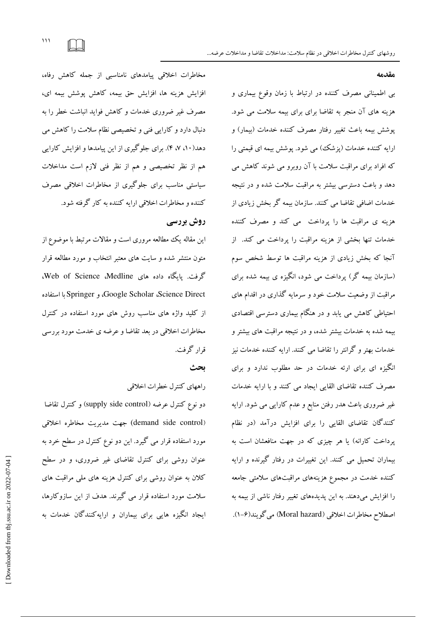$\mathcal{W}$ 

#### مقدمه

به اطمینانی مصرف کننده در ارتباط با زمان وقوع بیماری و هزینه های آن منجر به تقاضا برای برای بیمه سلامت می شود. پوشش بیمه باعث تغییر رفتار مصرف کننده خدمات (بیمار) و ارایه کننده خدمات (پزشک) می شود. پوشش بیمه ای قیمتی را که افراد برای مراقبت سلامت با آن روبرو می شوند کاهش می دهد و باعث دسترسی بیشتر به مراقبت سلامت شده و در نتیجه خدمات اضافی تقاضا می کنند. سازمان بیمه گر بخش زیادی از هزینه ی مراقبت ها را پرداخت ً می کند و مصرف کننده خدمات تنها بخشی از هزینه مراقبت را پرداخت می کند. از آنجا که بخش زیادی از هزینه مراقبت ها توسط شخص سوم (سازمان بیمه گر) پرداخت می شود، انگیزه ی بیمه شده برای مراقبت از وضعیت سلامت خود و سرمایه گذاری در اقدام های احتیاطی کاهش می یابد و در هنگام بیماری دسترسی اقتصادی بیمه شده به خدمات بیشتر شده، و در نتیجه مراقبت های بیشتر و خدمات بهتر و گرانتر را تقاضا می کنند. ارایه کننده خدمات نیز انگیزه ای برای ارئه خدمات در حد مطلوب ندارد و برای مصرف کننده تقاضای القایی ایجاد می کنند و با ارایه خدمات غیر ضروری باعث هدر رفتن منابع و عدم کارایبی می شود. ارایه کنندگان تقاضای القایی را برای افزایش درآمد (در نظام پرداخت کارانه) یا هر چیزی که در جهت منافعشان است به بیماران تحمیل می کنند. این تغییرات در رفتار گیرنده و ارایه کننده خدمت در مجموع هزینههای مراقبتهای سلامتی جامعه را افزایش میدهند. به این پدیدههای تغییر رفتار ناشی از بیمه به اصطلاح مخاطرات اخلاقی (Moral hazard) می گویند(۶-۱).

مخاطرات اخلاقی پیامدهای نامناسبی از جمله کاهش رفاه، افزايش هزينه ها، افزايش حق بيمه، كاهش يوشش بيمه اي، مصرف غیر ضروری خدمات و کاهش فواید انباشت خطر را به دنبال دارد و کارایی فنی و تخصیصی نظام سلامت را کاهش می دهد( ۱۰، ۷، ۴). برای جلوگیری از این پیامدها و افزایش کارایی هم از نظر تخصیصی و هم از نظر فنی لازم است مداخلات سیاستی مناسب برای جلوگیری از مخاطرات اخلاقی مصرف کننده و مخاطرات اخلاقی ارابه کننده به کار گرفته شود.

## روش بررسی

این مقاله یک مطالعه مروری است و مقالات مرتبط با موضوع از متون منتشر شده و سایت های معتبر انتخاب و مورد مطالعه قرار گرفت. یابگاه داده های Web of Science ،Medline، Google Scholar &Science Direct، و Springer با استفاده از کلید واژه های مناسب روش های مورد استفاده در کنترل مخاطرات اخلاقی در بعد تقاضا و عرضه ی خدمت مورد بررسی قرار گرفت.

### ىحث

راههاي كنترل خطرات اخلاقي

دو نوع کنترل عرضه (supply side control) و کنترل تقاضا (demand side control) جهت مديريت مخاطره اخلاقى مورد استفاده قرار می گیرد. این دو نوع کنترل در سطح خرد به عنوان روشی برای کنترل تقاضای غیر ضروری، و در سطح کلان به عنوان روشی برای کنترل هزینه های ملی مراقبت های سلامت مورد استفاده قرار می گیرند. هدف از این سازوکارها، ایجاد انگیزه هایی برای بیماران و ارایهکنندگان خدمات به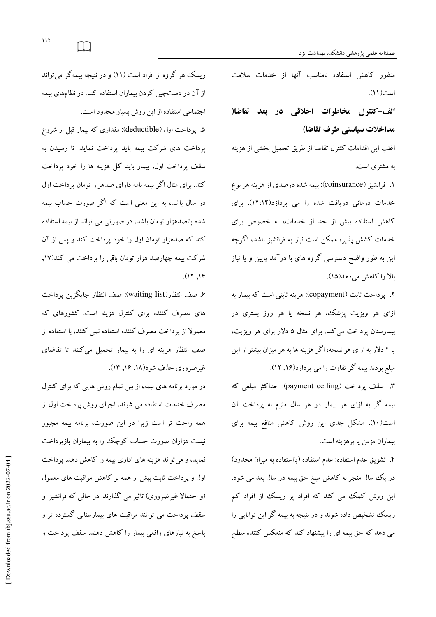منظور کاهش استفاده نامناسب آنها از خدمات سلامت است (١١).

الف-كنترل مخاطرات اخلاقى در بعد تقاضا( مداخلات سياستي طرف تقاضا)

اغلب اين اقدامات كنترل تقاضا از طريق تحميل بخشى از هزينه به مشتری است.

۱. فرانشیز (coinsurance): بیمه شده درصدی از هزینه هر نوع خدمات درمانی دریافت شده را می پردازد(۱۲،۱۴). برای کاهش استفاده بیش از حد از خدمات، به خصوص برای خدمات کشش پذیر، ممکن است نیاز به فرانشیز باشد، اگرچه این به طور واضح دسترسی گروه های با درآمد پایین و یا نیاز بالا را كاهش مى دهد(١٥).

۲. يرداخت ثابت (copayment): هزينه ثابتي است كه بيمار به ازای هر ویزیت پزشک، هر نسخه یا هر روز بستری در بیمارستان پرداخت می کند. برای مثال ۵ دلار برای هر ویزیت، یا ۲ دلار به ازای هر نسخه، اگر هزینه ها به هر میزان بیشتر از این مبلغ بودند بیمه گر تفاوت را می پردازد(۱۶, ۱۲).

٣. سقف يرداخت (payment ceiling): حداكثر مبلغي كه بیمه گر به ازای هر بیمار در هر سال ملزم به پرداخت آن است(١٠). مشكل جدى اين روش كاهش منافع بيمه براى بيماران مزمن يا پرهزينه است.

۴. تشويق عدم استفاده: عدم استفاده (يااستفاده به ميزان محدود) در یک سال منجر به کاهش مبلغ حق بیمه در سال بعد می شود. این روش کمک می کند که افراد پر ریسک از افراد کم ریسک تشخیص داده شوند و در نتیجه به بیمه گر این توانایی را می دهد که حق بیمه ای را پیشنهاد کند که منعکس کننده سطح

ریسک هر گروه از افراد است (۱۱) و در نتیجه بیمه گر می تواند از آن در دستچین کردن بیماران استفاده کند. در نظامهای بیمه اجتماعی استفاده از این روش بسیار محدود است.

۵. پرداخت اول (deductible): مقداری که بیمار قبل از شروع یرداخت های شرکت بیمه باید پرداخت نماید. تا رسیدن به سقف پرداخت اول، بیمار باید کل هزینه ها را خود پرداخت کند. برای مثال اگر بیمه نامه دارای صدهزار تومان پرداخت اول در سال باشد، به این معنی است که اگر صورت حساب بیمه شده یانصدهزار تومان باشد، در صورتی می تواند از بیمه استفاده کند که صدهزار تومان اول را خود پرداخت کند و پس از آن شرکت بیمه چهارصد هزار تومان باقی را پرداخت می کند(۱۷,  $(17, 19)$ 

۶. صف انتظار(waiting list): صف انتظار جايگزين پرداخت های مصرف کننده برای کنترل هزینه است. کشورهای که معمولاً از پرداخت مصرف کننده استفاده نمی کنند، با استفاده از صف انتظار هزینه ای را به بیمار تحمیل می کنند تا تقاضای غيرضروري حذف شود(١٨, ١٤, ١٣).

در مورد برنامه های بیمه، از بین تمام روش هایی که برای کنترل مصرف خدمات استفاده می شوند، اجرای روش پرداخت اول از همه راحت تر است زیرا در این صورت، برنامه بیمه مجبور نیست هزاران صورت حساب کوچک را به بیماران بازپرداخت نماید، و می تواند هزینه های اداری بیمه را کاهش دهد. پرداخت اول و یرداخت ثابت بیش از همه بر کاهش مراقبت های معمول (و احتمالا غیرضروری) تاثیر می گذارند. در حالی که فرانشیز و سقف پرداخت می توانند مراقبت های بیمارستانی گسترده تر و پاسخ به نیازهای واقعی بیمار را کاهش دهند. سقف پرداخت و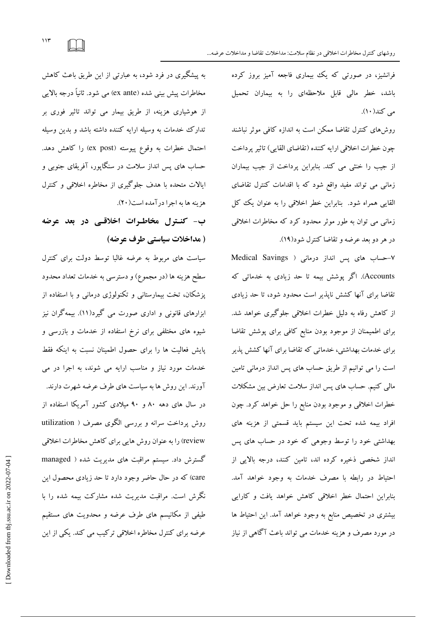فرانشیز، در صورتی که یک بیماری فاجعه آمیز بروز کرده باشد، خطر مالی قابل ملاحظهای را به بیماران تحمیل می کند(۱۰).

روشهای کنترل تقاضا ممکن است به اندازه کافی موثر نباشند چون خطرات اخلاقی ارایه کننده (تقاضای القایی) تاثیر پرداخت از جیب را خنثی می کند. بنابراین پرداخت از جیب بیماران زمانی می تواند مفید واقع شود که با اقدامات کنترل تقاضای القایی همراه شود. بنابراین خطر اخلاقی را به عنوان یک کل زمانی می توان به طور موثر محدود کرد که مخاطرات اخلاقی در هر دو بعد عرضه و تقاضا كنترل شو د(١٩).

N-حساب های پس انداز درمانی ( Medical Savings Accounts). اگر یوشش بیمه تا حد زیادی به خدماتی که تقاضا برای آنها کشش ناپذیر است محدود شود، تا حد زیادی از کاهش رفاه به دلیل خطرات اخلاقی جلوگیری خواهد شد. برای اطمیمنان از موجود بودن منابع کافی برای پوشش تقاضا برای خدمات بهداشتی، خدماتی که تقاضا برای آنها کشش پذیر است را می توانیم از طریق حساب های پس انداز درمانی تامین مالی کنیم. حساب های پس انداز سلامت تعارض بین مشکلات خطرات اخلاقی و موجود بودن منابع را حل خواهد کرد. چون افراد بیمه شده تحت این سیستم باید قسمتی از هزینه های بهداشتی خود را توسط وجوهی که خود در حساب های پس انداز شخصی ذخیره کرده اند، تامین کنند، درجه بالایی از احتیاط در رابطه با مصرف خدمات به وجود خواهد آمد. بنابراین احتمال خطر اخلاقی کاهش خواهد یافت و کارایی بیشتری در تخصیص منابع به وجود خواهد آمد. این احتیاط ها در مورد مصرف و هزینه خدمات می تواند باعث آگاهی از نیاز

به پیشگیری در فرد شود، به عبارتی از این طریق باعث کاهش مخاطرات پیش بینی شده (ex ante) می شود. ثانیاً درجه بالایی از هوشیاری هزینه، از طریق بیمار می تواند تاثیر فوری بر تدارك خدمات به وسيله ارايه كننده داشته باشد و بدين وسيله احتمال خطرات به وقوع پیوسته (ex post) را کاهش دهد. حساب های پس انداز سلامت در سنگاپور، آفریقای جنوبی و ایالات متحده با هدف جلوگیری از مخاطره اخلاقی و کنترل هزينه ها به اجرا درآمده است(٢٠).

ب- کنترل مخاطرات اخلاقے در بعد عرضه ( مداخلات سیاستی طرف عرضه)

سیاست های مربوط به عرضه غالبا توسط دولت برای کنترل سطح هزینه ها (در مجموع) و دسترسی به خدمات تعداد محدود پزشکان، تخت بیمارستانی و تکنولوژی درمانی و با استفاده از ابزارهای قانونی و اداری صورت می گیرد(۱۱). بیمهگران نیز شیوه های مختلفی برای نرخ استفاده از خدمات و بازرسی و یایش فعالیت ها را برای حصول اطمینان نسبت به اینکه فقط خدمات مورد نیاز و مناسب ارایه می شوند، به اجرا در می آورند. این روش ها به سیاست های طرف عرضه شهرت دارند. در سال های دهه ۸۰ و ۹۰ مبلادی کشور آمریکا استفاده از روش پرداخت سرانه و بررسی الگوی مصرف ( utilization review) را به عنوان روش هایی برای کاهش مخاطرات اخلاقی گسترش داد. سیستم مراقبت های مدیریت شده ( managed care) که در حال حاضر وجود دارد تا حد زیادی محصول این نگرش است. مراقبت مدیریت شده مشارکت بیمه شده را با طیفی از مکانیسم های طرف عرضه و محدویت های مستقیم عرضه برای کنترل مخاطره اخلاقی ترکیب می کند. یکی از این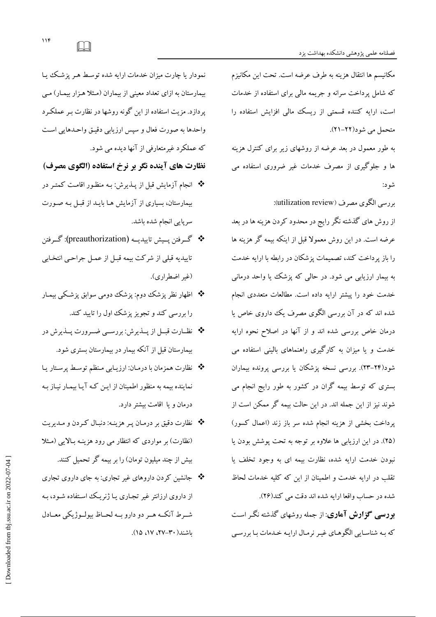مکانیسم ها انتقال هزینه به طرف عرضه است. تحت این مکانیزم که شامل پرداخت سرانه و جریمه مالی برای استفاده از خدمات است، ارایه کننده قسمتی از ریسک مالی افزایش استفاده را متحمل مي شود(٢٢-٢١).

به طور معمول در بعد عرضه از روشهای زیر برای کنترل هزینه ها و جلوگیری از مصرف خدمات غیر ضروری استفاده می شو د:

بررسي الكوى مصرف (utilization review): از روش های گذشته نگر رایج در محدود کردن هزینه ها در بعد عرضه است. در این روش معمولا قبل از اینکه بیمه گر هزینه ها را باز پرداخت کند، تصمیمات پزشکان در رابطه با ارایه خدمت به بیمار ارزیابی می شود. در حالی که یزشک یا واحد درمانی خدمت خود را پیشتر ارایه داده است. مطالعات متعددی انجام شده اند که در آن بررسی الگوی مصرف یک دداروی خاص یا درمان خاص بررسی شده اند و از آنها در اصلاح نحوه ارایه خدمت و یا میزان به کارگیری راهنماهای بالینی استفاده می شود(۲۴–۲۳). بررسی نسخه پزشکان یا بررسی پرونده بیماران بستری که توسط بیمه گران در کشور به طور رایج انجام می شوند نیز از این جمله اند. در این حالت بیمه گر ممکن است از پرداخت بخشی از هزینه انجام شده سر باز زند (اعمال کسور) (۲۵). در این ارزیابی ها علاوه بر توجه به تحت پوشش بودن یا نبودن خدمت ارایه شده، نظارت بیمه ای به وجود تخلف یا تقلب در ارایه خدمت و اطمینان از این که کلیه خدمات لحاظ شده در حساب واقعا ارايه شده اند دقت مي كند(٢۶).

**بورسی گزارش آماری**: از جمله روشهای گذشته نگر است که بـه شناسـایی الگوهـای غیـر نرمـال ارایـه خـدمات بـا بررسـی

نمودار یا چارت میزان خدمات ارایه شده توسط هـر یزشـک یـا بیمارستان به ازای تعداد معینی از بیماران (مثلا هـزار بیمـار) مـی یردازد. مزیت استفاده از این گونه روشها در نظارت بـر عملکـرد واحدها به صورت فعال و سپس ارزيابي دقيـق واحـدهايي اسـت که عملکرد غیر متعارفی از آنها دیده می شود.

نظارت های آینده نگر بر نرخ استفاده (الگوی مصرف)

- \* انجام آزمایش قبل از پـذیرش: بـه منظـور اقامـت کمتـر در بیمارستان، بسیاری از آزمایش هـا بایـد از قبـل بـه صـورت سریایی انجام شده باشد.
- \* گے فتن پسپش تاييديــه (preauthorization): گے فتن تاییدیه قبلی از شرکت بیمه قبل از عمل جراحبی انتخابی (غیر اضطراری).
- \* اظهار نظر پزشک دوم: پزشک دومی سوابق پزشکی بیمـار را بررسی کند و تجویز پزشک اول را تایید کند.
- \*\* نظـارت قبــل از پـــذيرش: بررســي ضــرورت پــذيرش در بیمارستان قبل از آنکه بیمار در بیمارستان بستری شود.
- \*\* نظارت همزمان با درمان: ارزيابي منظم توسط پرستار يا نماینده بیمه به منظور اطمینان از ایـن کـه آیـا بیمـار نیـاز بـه درمان و با اقامت بیشتر دارد.
- \*\* نظارت دقیق بر درمـان پـر هزینـه: دنبـال کـردن و مـدیریت (نظارت) بر مواردی که انتظار می رود هزینه بالایی (مثلا بیش از چند میلیون تومان) را بر بیمه گر تحمیل کنند.
- \*\* جانشین کردن داروهای غیر تجاری: به جای داروی تجاری از داروی ارزانتر غیر تجـاری یـا ژنریـک اسـتفاده شـود، بـه شہرط آنکـه هــر دو دارو بــه لحــاظ بيولــوژيکي معــادل باشند(۳۰–۲۷، ۱۷، ۱۵).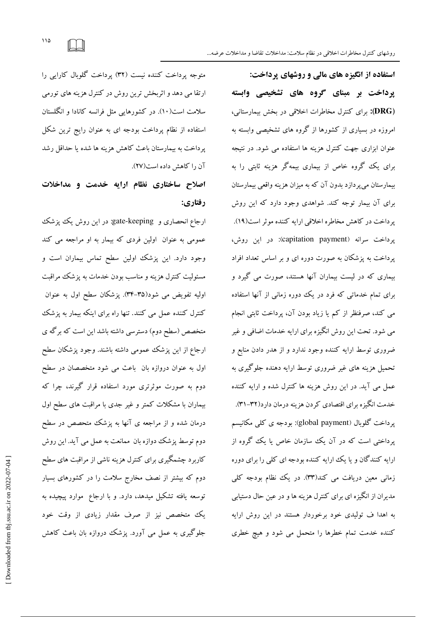استفاده از انگیزه های مالی و روشهای پرداخت: **یرداخت بر مبنای گروه های تشخیصی وابسته** (DRG): برای کنترل مخاطرات اخلاقی در بخش بیمارستانی، امروزه در بسیاری از کشورها از گروه های تشخیصی وابسته به عنوان ابزاری جهت کنترل هزینه ها استفاده می شود. در نتیجه برای یک گروه خاص از بیماری بیمهگر هزینه ثابتی را به بیمارستان می پردازد بدون آن که به میزان هزینه واقعی بیمارستان برای آن بیمار توجه کند. شواهدی وجود دارد که این روش پرداخت در کاهش مخاطره اخلاقی ارایه کننده موثر است(۱۹). یرداخت سرانه (capitation payment): در این روش، پرداخت به پزشکان به صورت دوره ای و بر اساس تعداد افراد بیماری که در لیست بیماران آنها هستند، صورت می گیرد و برای تمام خدماتی که فرد در یک دوره زمانی از آنها استفاده می کند، صرفنظر از کم یا زیاد بودن آن، پرداخت ثابتی انجام می شود. تحت این روش انگیزه برای ارایه خدمات اضافی و غیر ضروری توسط ارایه کننده وجود ندارد و از هدر دادن منابع و تحمیل هزینه های غیر ضروری توسط ارایه دهنده جلوگیری به عمل می آید. در این روش هزینه ها کنترل شده و ارایه کننده خدمت انگیز ه برای اقتصادی کردن هزینه درمان دارد(۳۲–۳۱). یرداخت گلوبال (global payment): بودجه ی کلی مکانیسم پرداختی است که در آن یک سازمان خاص یا یک گروه از ارایه کنندگان و یا یک ارایه کننده بودجه ای کلی را برای دوره زمانی معین دریافت می کند(۳۳). در یک نظام بودجه کلی مدیران از انگیزه ای برای کنترل هزینه ها و در عین حال دستیابی به اهدا ف تولیدی خود برخوردار هستند در این روش ارایه کننده خدمت تمام خطرها را متحمل می شود و هیچ خطری

متوجه پرداخت کننده نیست (۳۲) پرداخت گلوبال کارایی را ارتقا می دهد و اثربخش ترین روش در کنترل هزینه های تورمی سلامت است(۱۰). در کشورهایی مثل فرانسه کانادا و انگلستان استفاده از نظام پرداخت بودجه ای به عنوان رایج ترین شکل يرداخت به بيمارستان باعث كاهش هزينه ها شده يا حداقل رشد آن را كاهش داده است(٢٧).

# اصلاح ساختاری نظام ارایه خدمت و مداخلات رفتاري:

ارجاع انحصاری و gate-keeping: در این روش یک یز شک عمومی به عنوان اولین فردی که بیمار به او مراجعه می کند وجود دارد. این پزشک اولین سطح تماس بیماران است و مسئوليت كنترل هزينه و مناسب بودن خدمات به يزشك مراقبت اولیه تفویض می شود(۳۵-۳۴). پزشکان سطح اول به عنوان کنترل کننده عمل می کنند. تنها راه برای اینکه بیمار به پزشک متخصص (سطح دوم) دسترسی داشته باشد این است که برگه ی ارجاع از این یزشک عمومی داشته باشند. وجود یزشکان سطح اول به عنوان دروازه بان باعث می شود متخصصان در سطح دوم به صورت موثرتری مورد استفاده قرار گیرند، چرا که بیماران با مشکلات کمتر و غیر جدی با مراقبت های سطح اول درمان شده و از مراجعه ی آنها به پزشک متحصص در سطح دوم توسط پزشک دوازه بان ممانعت به عمل می آید. این روش کاربرد چشمگیری برای کنترل هزینه ناشی از مراقبت های سطح دوم که بیشتر از نصف مخارج سلامت را در کشورهای بسیار توسعه یافته تشکیل میدهد، دارد. و با ارجاع ً موارد پیچیده به یک متخصص نیز از صرف مقدار زیادی از وقت خود جلوگیری به عمل می آورد. یزشک دروازه بان باعث کاهش

 $110$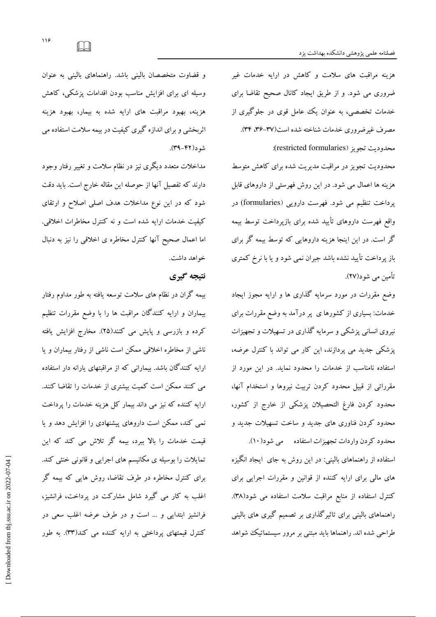هزینه مراقبت های سلامت و کاهش در ارایه خدمات غیر ضروری می شود. و از طریق ایجاد کانال صحیح تقاضا برای خدمات تخصصی، به عنوان یک عامل قوی در جلوگیری از مصرف غيرضروري خدمات شناخته شده است(٣٧-٣۴، ٣۴).

محدوديت تجويز (restricted formularies):

محدودیت تجویز در مراقبت مدیریت شده برای کاهش متوسط هزینه ها اعمال می شود. در این روش فهرستی از داروهای قابل پرداخت تنظیم می شود. فهرست دارویی (formularies) در واقع فهرست داروهاى تأييد شده براى بازپرداخت توسط بيمه گر است. در این اینجا هزینه داروهایی که توسط بیمه گر برای باز پرداخت تأیید نشده باشد جبران نمی شود و یا با نرخ کمتری تأمين مي شو د(٢٧).

وضع مقررات در مورد سرمایه گذاری ها و ارایه مجوز ایجاد خدمات: بسیاری از کشورها ی پر درآمد به وضع مقررات برای نیروی انسانی پزشکی و سرمایه گذاری در تسهیلات و تجهیزات یزشکی جدید می پردازند، این کار می تواند با کنترل عرضه، استفاده نامناسب از خدمات را محدود نماید. در این مورد از مقرراتی از قبیل محدود کردن تربیت نیروها و استخدام آنها، محدود کردن فارغ التحصیلان پزشکی از خارج از کشور، محدود کردن فناوری های جدید و ساخت تسهیلات جدید و

محدود كردن واردات تجهيزات استفاده مي شود(١٠). استفاده از راهنماهای بالینی: در این روش به جای ایجاد انگیزه های مالی برای ارایه کننده از قوانین و مقررات اجرایی برای کنترل استفاده از منابع مراقبت سلامت استفاده می شود(۳۸). راهنماهای بالینی برای تاثیرگذاری بر تصمیم گیری های بالینی طراحی شده اند. راهنماها باید مبتنی بر مرور سیستماتیک شواهد

و قضاوت متخصصان بالینی باشد. راهنماهای بالینی به عنوان وسیله ای برای افزایش مناسب بودن اقدامات یزشکی، کاهش هزینه، بهبود مراقبت های ارایه شده به بیمار، بهبود هزینه اثربخشی و برای اندازه گیری کیفیت در بیمه سلامت استفاده می شو د(۴۲-۳۹).

مداخلات متعدد دیگری نیز در نظام سلامت و تغییر رفتار وجود دارند که تفصیل آنها از حوصله این مقاله خارج است. باید دقت شود که در این نوع مداخلات هدف اصلی اصلاح و ارتقای كيفيت خدمات ارايه شده است و نه كنترل مخاطرات اخلاقي. اما اعمال صحیح آنها کنترل مخاطره ی اخلاقی را نیز به دنبال خواهد داشت.

## نتیجه گیری

بیمه گران در نظام های سلامت توسعه یافته به طور مداوم رفتار بیماران و ارایه کنندگان مراقبت ها را با وضع مقررات تنظیم کرده و بازرسی و پایش می کنند(۲۵). مخارج افزایش یافته ناشی از مخاطره اخلاقی ممکن است ناشی از رفتار بیماران و یا ارایه کنندگان باشد. بیمارانی که از مراقبتهای یارانه دار استفاده می کنند ممکن است کمیت بیشتری از خدمات را تقاضا کنند. ارابه کننده که نیز می داند بیمار کل هزینه خدمات را پرداخت نمی کند، ممکن است داروهای پیشنهادی را افزایش دهد و یا قیمت خدمات را بالا ببرد، بیمه گر تلاش می کند که این تمایلات را بوسیله ی مکانیسم های اجرایی و قانونی خنثی کند. برای کنترل مخاطره در طرف تقاضا، روش هایی که بیمه گر اغلب به کار می گیرد شامل مشارکت در پرداخت، فرانشیز، فرانشیز ابتدایی و ... است و در طرف عرضه اغلب سعی در کنترل قیمتهای پرداختی به ارایه کننده می کند(۳۳). به طور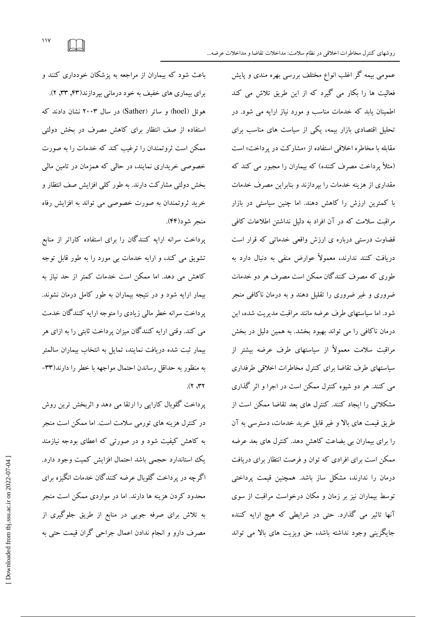باعث شود که بیماران از مراجعه به پزشکان خودداری کنند و برای بیماری های خفیف به خود درمانی بیردازند(۴۳, ۳۳, ۲). هوئل (hoel) و ساتر (Sather) در سال ۲۰۰۳ نشان دادند که استفاده از صف انتظار برای کاهش مصرف در بخش دولتی ممکن است ثروتمندان را ترغیب کند که خدمات را به صورت خصوصی خریداری نمایند، در حالی که همزمان در تامین مالی بخش دولتی مشارکت دارند. به طور کلبی افزایش صف انتظار و خرید ثروتمندان به صورت خصوصی می تواند به افزایش رفاه منجر شود(۴۴).

پرداخت سرانه ارایه کنندگان را برای استفاده کاراتر از منابع تشویق می کند، و ارایه خدمات بی مورد را به طور قابل توجه کاهش می دهد. اما ممکن است خدمات کمتر از حد نیاز به بیمار ارایه شود و در نتیجه بیماران به طور کامل درمان نشوند. یرداخت سرانه خطر مالی زیادی را متوجه ارایه کنندگان خدمت می کند. وقتی ارایه کنندگان میزان پرداخت ثابتی را به ازای هر بيمار ثبت شده دريافت نمايند، تمايل به انتخاب بيماران سالمتر به منظور به حداقل رساندن احتمال مواجهه با خطر را دارند(٣٣- $(5.77)$ 

یر داخت گلوپال کارایی را ارتقا می دهد و اثریخش ترین روش در کنترل هزینه های تورمی سلامت است. اما ممکن است منجر به کاهش کیفیت شود و در صورتی که اعطای بودجه نیازمند یک استاندارد حجمی باشد احتمال افزایش کمیت وجود دارد. اگرچه در پرداخت گلوبال عرضه کنندگان خدمات انگیزه برای محدود کردن هزینه ها دارند. اما در مواردی ممکن است منجر به تلاش برای صرفه جویی در منابع از طریق جلوگیری از مصرف دارو و انجام ندادن اعمال جراحی گران قیمت حتبی به

عمومی بیمه گر اغلب انواع مختلف بررسی بهره مندی و پایش فعالیت ها را یکار می گیرد که از این طریق تلاش می کند اطمینان پابد که خدمات مناسب و مورد نیاز ارایه می شود. در تحلیل اقتصادی بازار بیمه، یکی از سیاست های مناسب برای مقابله با مخاطره اخلاقی استفاده از «مشارکت در پرداخت» است (مثلاً پرداخت مصرف کننده) که بیماران را مجبور می کند که مقداری از هزینه خدمات را بپردازند و بنابراین مصرف خدمات با کمترین ارزش را کاهش دهند. اما چنین سیاستی در بازار مراقبت سلامت که در آن افراد به دلیل نداشتن اطلاعات کافی قضاوت درستی درباره ی ارزش واقعی خدماتی که قرار است دریافت کنند ندارند، معمولاً عوارض منفی به دنبال دارد به طوری که مصرف کنندگان ممکن است مصرف هر دو خدمات ضروری و غیر ضروری را تقلیل دهند و به درمان ناکافی منجر شود. اما سیاستهای طرف عرضه مانند مراقبت مدیریت شده، این درمان ناکافی را می تواند بهبود بخشد. به همین دلیل در بخش مراقبت سلامت معمولاً از سیاستهای طرف عرضه بیشتر از سیاستهای طرف تقاضا برای کنترل مخاطرات اخلاقی طرفداری می کنند. هر دو شیوه کنترل ممکن است در اجرا و اثر گذاری مشکلاتی را ایجاد کنند. کنترل های بعد تقاضا ممکن است از طریق قیمت های بالا و غیر قابل خرید خدمات، دسترسی به آن را برای بیماران بی بضاعت کاهش دهد. کنترل های بعد عرضه ممکن است برای افرادی که توان و فرصت انتظار برای دریافت درمان را ندارند، مشکل ساز باشد. همچنین قیمت پرداختی توسط بیماران نیز بر زمان و مکان درخواست مراقبت از سوی آنها تاثیر می گذارد. حتی در شرایطی که هیچ ارایه کننده جایگزینی وجود نداشته باشد، حق ویزیت های بالا می تواند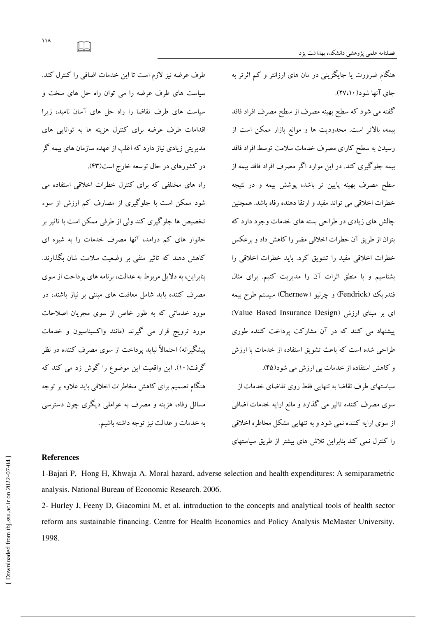هنگام ضرورت یا جایگزینی در مان های ارزانتر و کم اثرتر به حاي آنها شو د(١٠/٢٧). گفته می شود که سطح بهینه مصرف از سطح مصرف افراد فاقد بیمه، بالاتر است. محدودیت ها و موانع بازار ممکن است از رسیدن به سطح کارای مصرف خدمات سلامت توسط افراد فاقد بیمه جلوگیری کند. در این موارد اگر مصرف افراد فاقد بیمه از سطح مصرف بهینه پایین تر باشد، پوشش بیمه و در نتیجه خطرات اخلاقی می تواند مفید و ارتقا دهنده رفاه باشد. همچنین چالش های زیادی در طراحی بسته های خدمات وجود دارد که بتوان از طريق آن خطرات اخلاقي مضر را كاهش داد و برعكس خطرات اخلاقی مفید را تشویق کرد. باید خطرات اخلاقی را بشناسیم و با منطق اثرات آن را مدیریت کنیم. برای مثال فندريك (Fendrick) و چرنيو (Chernew) سيستم طرح بيمه ای بر مبنای ارزش (Value Based Insurance Design) پیشنهاد می کنند که در آن مشارکت پرداخت کننده طوری طراحی شده است که باعث تشویق استفاده از خدمات با ارزش و کاهش استفاده از خدمات بی ارزش می شود(۴۵). سیاستهای طرف تقاضا به تنهایی فقط روی تقاضای خدمات از سوی مصرف کننده تاثیر می گذارد و مانع ارایه خدمات اضافی از سوی ارایه کننده نمی شود و به تنهایی مشکل مخاطره اخلاقی را کنترل نمی کند بنابراین تلاش های بیشتر از طریق سیاستهای

طرف عرضه نیز لازم است تا این خدمات اضافی را کنترل کند. سباست های طرف عرضه را می توان راه حل های سخت و سیاست های طرف تقاضا را راه حل های آسان نامید، زیرا اقدامات طرف عرضه برای کنترل هزینه ها به توانایی های مدیریتی زیادی نیاز دارد که اغلب از عهده سازمان های بیمه گر در کشورهای در حال توسعه خارج است(۴۳).

راه های مختلفی که برای کنترل خطرات اخلاقی استفاده می شود ممکن است با جلوگیری از مصارف کم ارزش از سوء تخصیص ها جلوگیری کند ولی از طرفی ممکن است با تاثیر بر خانوار های کم درامد، آنها مصرف خدمات را به شیوه ای کاهش دهند که تاثیر منفی بر وضعیت سلامت شان بگذارند. بنابراین، به دلایل مربوط به عدالت، برنامه های پرداخت از سوی مصرف کننده باید شامل معافیت های مبتنی بر نیاز باشند، در مورد خدماتی که به طور خاص از سوی مجریان اصلاحات مورد ترویج قرار می گیرند (مانند واکسیناسیون و خدمات پیشگیرانه) احتمالاً نباید پرداخت از سوی مصرف کننده در نظر گرفت(۱۰). این واقعیت این موضوع را گوش زد می کند که هنگام تصمیم برای کاهش مخاطرات اخلاقی باید علاوه بر توجه مسائل رفاه، هزینه و مصرف به عواملی دیگری چون دسترسی به خدمات و عدالت نیز توجه داشته باشیم.

### **References**

1-Bajari P, Hong H, Khwaja A. Moral hazard, adverse selection and health expenditures: A semiparametric analysis. National Bureau of Economic Research. 2006.

2- Hurley J, Feeny D, Giacomini M, et al. introduction to the concepts and analytical tools of health sector reform ans sustainable financing. Centre for Health Economics and Policy Analysis McMaster University. 1998.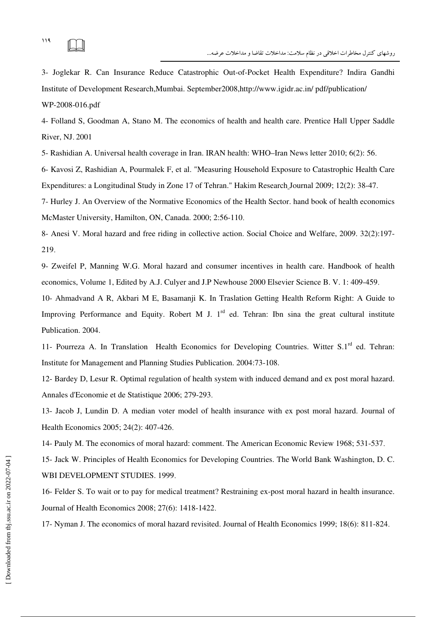3- Joglekar R. Can Insurance Reduce Catastrophic Out-of-Pocket Health Expenditure? Indira Gandhi Institute of Development Research,Mumbai. September2008,http://www.igidr.ac.in/ pdf/publication/ WP-2008-016.pdf

4- Folland S, Goodman A, Stano M. The economics of health and health care. Prentice Hall Upper Saddle River, NJ. 2001

5- Rashidian A. Universal health coverage in Iran. IRAN health: WHO–Iran News letter 2010; 6(2): 56.

6- Kavosi Z, Rashidian A, Pourmalek F, et al. "Measuring Household Exposure to Catastrophic Health Care Expenditures: a Longitudinal Study in Zone 17 of Tehran." Hakim Research Journal 2009; 12(2): 38-47.

7- Hurley J. An Overview of the Normative Economics of the Health Sector. hand book of health economics McMaster University, Hamilton, ON, Canada. 2000; 2:56-110.

8- Anesi V. Moral hazard and free riding in collective action. Social Choice and Welfare, 2009. 32(2):197- 219.

9- Zweifel P, Manning W.G. Moral hazard and consumer incentives in health care. Handbook of health economics, Volume 1, Edited by A.J. Culyer and J.P Newhouse 2000 Elsevier Science B. V. 1: 409-459.

10- Ahmadvand A R, Akbari M E, Basamanji K. In Traslation Getting Health Reform Right: A Guide to Improving Performance and Equity. Robert M J.  $1<sup>rd</sup>$  ed. Tehran: Ibn sina the great cultural institute Publication. 2004.

11- Pourreza A. In Translation Health Economics for Developing Countries. Witter S.1<sup>rd</sup> ed. Tehran: Institute for Management and Planning Studies Publication. 2004:73-108.

12- Bardey D, Lesur R. Optimal regulation of health system with induced demand and ex post moral hazard. Annales d'Economie et de Statistique 2006; 279-293.

13- Jacob J, Lundin D. A median voter model of health insurance with ex post moral hazard. Journal of Health Economics 2005; 24(2): 407-426.

14- Pauly M. The economics of moral hazard: comment. The American Economic Review 1968; 531-537.

15- Jack W. Principles of Health Economics for Developing Countries. The World Bank Washington, D. C. WBI DEVELOPMENT STUDIES. 1999. 15- Jack W. Principles of Health Economics for Developing Countries. The World Bank Washington, D. C<br>
WBI DEVELOPMENT STUDIES. 1999.<br>
16- Felder S. To wait or to pay for medical treatment? Restraining ex-post moral hazard

16- Felder S. To wait or to pay for medical treatment? Restraining ex-post moral hazard in health insurance. Journal of Health Economics 2008; 27(6): 1418-1422.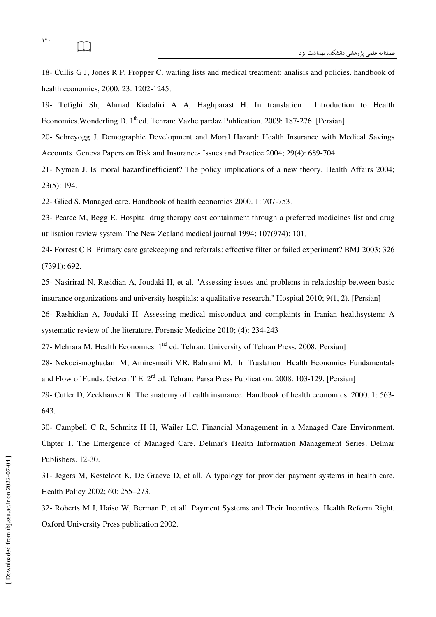18- Cullis G J, Jones R P, Propper C. waiting lists and medical treatment: analisis and policies. handbook of health economics, 2000. 23: 1202-1245.

19- Tofighi Sh, Ahmad Kiadaliri A A, Haghparast H. In translation Introduction to Health Economics. Wonderling D.  $1<sup>th</sup>$ ed. Tehran: Vazhe pardaz Publication. 2009: 187-276. [Persian]

20- Schreyogg J. Demographic Development and Moral Hazard: Health Insurance with Medical Savings Accounts. Geneva Papers on Risk and Insurance- Issues and Practice 2004; 29(4): 689-704.

21- Nyman J. Is' moral hazard'inefficient? The policy implications of a new theory. Health Affairs 2004;  $23(5): 194.$ 

22- Glied S. Managed care. Handbook of health economics 2000. 1: 707-753.

23- Pearce M, Begg E. Hospital drug therapy cost containment through a preferred medicines list and drug utilisation review system. The New Zealand medical journal 1994; 107(974): 101.

24- Forrest C B. Primary care gatekeeping and referrals: effective filter or failed experiment? BMJ 2003; 326  $(7391): 692.$ 

25- Nasirirad N, Rasidian A, Joudaki H, et al. "Assessing issues and problems in relatioship between basic insurance organizations and university hospitals: a qualitative research." Hospital 2010; 9(1, 2). [Persian] 26- Rashidian A, Joudaki H. Assessing medical misconduct and complaints in Iranian healthsystem: A systematic review of the literature. Forensic Medicine 2010; (4): 234-243

27- Mehrara M. Health Economics. 1<sup>nd</sup> ed. Tehran: University of Tehran Press. 2008.[Persian]

28- Nekoei-moghadam M, Amiresmaili MR, Bahrami M. In Traslation Health Economics Fundamentals and Flow of Funds. Getzen T E. 2<sup>rd</sup> ed. Tehran: Parsa Press Publication. 2008: 103-129. [Persian]

29- Cutler D, Zeckhauser R. The anatomy of health insurance. Handbook of health economics. 2000. 1: 563- 643.

30- Campbell C R, Schmitz H H, Wailer LC. Financial Management in a Managed Care Environment. Chpter 1. The Emergence of Managed Care. Delmar's Health Information Management Series. Delmar Publishers. 12-30.

31- Jegers M, Kesteloot K, De Graeve D, et all. A typology for provider payment systems in health care. Health Policy 2002; 60: 255–273.

32- Roberts M J, Haiso W, Berman P, et all. Payment Systems and Their Incentives. Health Reform Right. Oxford University Press publication 2002.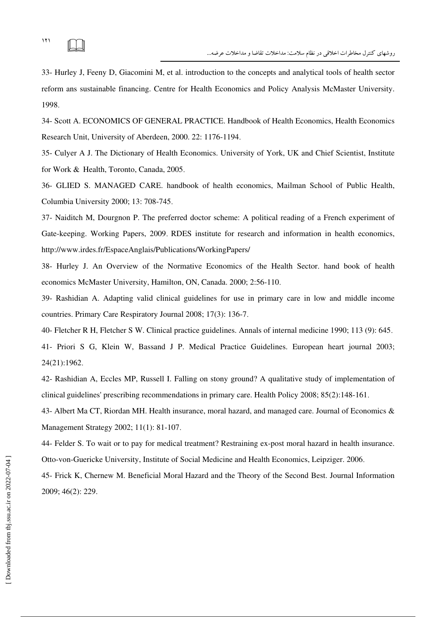33- Hurley J, Feeny D, Giacomini M, et al. introduction to the concepts and analytical tools of health sector reform ans sustainable financing. Centre for Health Economics and Policy Analysis McMaster University. 1998.

34- Scott A. ECONOMICS OF GENERAL PRACTICE. Handbook of Health Economics, Health Economics Research Unit, University of Aberdeen, 2000. 22: 1176-1194.

35- Culyer A J. The Dictionary of Health Economics. University of York, UK and Chief Scientist, Institute for Work & Health, Toronto, Canada, 2005.

36- GLIED S. MANAGED CARE. handbook of health economics, Mailman School of Public Health, Columbia University 2000; 13: 708-745.

37- Naiditch M, Dourgnon P. The preferred doctor scheme: A political reading of a French experiment of Gate-keeping. Working Papers, 2009. RDES institute for research and information in health economics, http://www.irdes.fr/EspaceAnglais/Publications/WorkingPapers/

38- Hurley J. An Overview of the Normative Economics of the Health Sector. hand book of health economics McMaster University, Hamilton, ON, Canada. 2000; 2:56-110.

39- Rashidian A. Adapting valid clinical guidelines for use in primary care in low and middle income countries. Primary Care Respiratory Journal 2008; 17(3): 136-7.

40- Fletcher R H, Fletcher S W. Clinical practice guidelines. Annals of internal medicine 1990; 113 (9): 645.

41- Priori S G, Klein W, Bassand J P. Medical Practice Guidelines. European heart journal 2003; 24(21):1962.

42- Rashidian A, Eccles MP, Russell I. Falling on stony ground? A qualitative study of implementation of clinical guidelines' prescribing recommendations in primary care. Health Policy  $2008$ ;  $85(2)$ :148-161.

43- Albert Ma CT, Riordan MH. Health insurance, moral hazard, and managed care. Journal of Economics & Management Strategy 2002; 11(1): 81-107.

44- Felder S. To wait or to pay for medical treatment? Restraining ex-post moral hazard in health insurance. Otto-von-Guericke University, Institute of Social Medicine and Health Economics, Leipziger. 2006.

45- Frick K, Chernew M. Beneficial Moral Hazard and the Theory of the Second Best. Journal Information 2009; 46(2): 229.